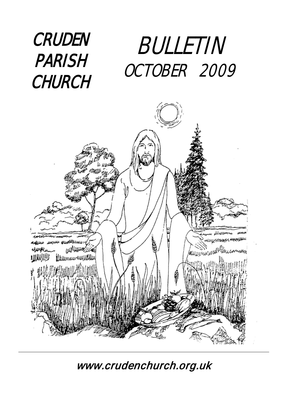### CRUDEN PARISH **CHURCH** BULLETIN OCTOBER 2009



[www.crudenc](http://www.cruden/)hurch.org.uk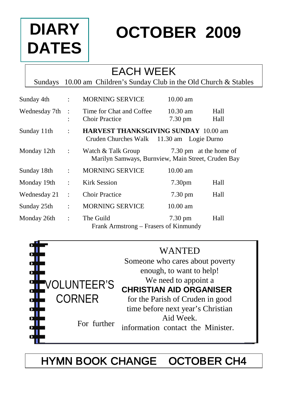# **DIARY DATES**

# **OCTOBER 2009**

### EACH WEEK

Sundays 10.00 am Children's Sunday Club in the Old Church & Stables

| Sunday 4th    | $\ddot{\cdot}$                    | <b>MORNING SERVICE</b>                                                                   | $10.00$ am                              |              |
|---------------|-----------------------------------|------------------------------------------------------------------------------------------|-----------------------------------------|--------------|
| Wednesday 7th | $\cdot$ :<br>$\ddot{\phantom{a}}$ | Time for Chat and Coffee<br><b>Choir Practice</b>                                        | $10.30 \text{ am}$<br>$7.30 \text{ pm}$ | Hall<br>Hall |
| Sunday 11th   | $\ddot{\cdot}$                    | <b>HARVEST THANKSGIVING SUNDAY 10.00 am</b><br>Cruden Churches Walk 11.30 am Logie Durno |                                         |              |
| Monday 12th   | $\ddot{\phantom{a}}$              | Watch & Talk Group<br>Marilyn Samways, Burnview, Main Street, Cruden Bay                 | 7.30 pm at the home of                  |              |
| Sunday 18th   | $\ddot{\cdot}$                    | <b>MORNING SERVICE</b>                                                                   | $10.00$ am                              |              |
| Monday 19th   | $\ddot{\phantom{a}}$              | Kirk Session                                                                             | 7.30 <sub>pm</sub>                      | Hall         |
| Wednesday 21  | $\ddot{\cdot}$                    | <b>Choir Practice</b>                                                                    | $7.30 \text{ pm}$                       | Hall         |
| Sunday 25th   | ÷                                 | <b>MORNING SERVICE</b>                                                                   | $10.00$ am                              |              |
| Monday 26th   | $\ddot{\phantom{a}}$              | The Guild<br>Frank Armstrong – Frasers of Kinmundy                                       | $7.30 \text{ pm}$                       | Hall         |



# HYMN BOOK CHANGE OCTOBER CH4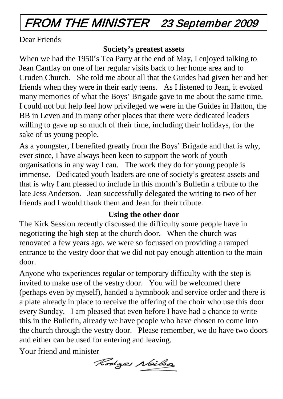# FROM THE MINISTER 23 September 2009

Dear Friends

#### **Society's greatest assets**

When we had the 1950's Tea Party at the end of May, I enjoyed talking to Jean Cantlay on one of her regular visits back to her home area and to Cruden Church. She told me about all that the Guides had given her and her friends when they were in their early teens. As I listened to Jean, it evoked many memories of what the Boys' Brigade gave to me about the same time. I could not but help feel how privileged we were in the Guides in Hatton, the BB in Leven and in many other places that there were dedicated leaders willing to gave up so much of their time, including their holidays, for the sake of us young people.

As a youngster, I benefited greatly from the Boys' Brigade and that is why, ever since, I have always been keen to support the work of youth organisations in any way I can. The work they do for young people is immense. Dedicated youth leaders are one of society's greatest assets and that is why I am pleased to include in this month's Bulletin a tribute to the late Jess Anderson. Jean successfully delegated the writing to two of her friends and I would thank them and Jean for their tribute.

#### **Using the other door**

The Kirk Session recently discussed the difficulty some people have in negotiating the high step at the church door. When the church was renovated a few years ago, we were so focussed on providing a ramped entrance to the vestry door that we did not pay enough attention to the main door.

Anyone who experiences regular or temporary difficulty with the step is invited to make use of the vestry door. You will be welcomed there (perhaps even by myself), handed a hymnbook and service order and there is a plate already in place to receive the offering of the choir who use this door every Sunday. I am pleased that even before I have had a chance to write this in the Bulletin, already we have people who have chosen to come into the church through the vestry door. Please remember, we do have two doors and either can be used for entering and leaving.

Your friend and minister

Rodges Nailson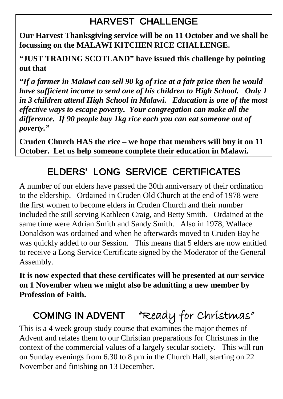### HARVEST CHALLENGE

**Our Harvest Thanksgiving service will be on 11 October and we shall be focussing on the MALAWI KITCHEN RICE CHALLENGE.**

**"JUST TRADING SCOTLAND" have issued this challenge by pointing out that**

*"If a farmer in Malawi can sell 90 kg of rice at a fair price then he would have sufficient income to send one of his children to High School. Only 1 in 3 children attend High School in Malawi. Education is one of the most effective ways to escape poverty. Your congregation can make all the difference. If 90 people buy 1kg rice each you can eat someone out of poverty."*

**Cruden Church HAS the rice – we hope that members will buy it on 11 October. Let us help someone complete their education in Malawi.**

# ELDERS' LONG SERVICE CERTIFICATES

A number of our elders have passed the 30th anniversary of their ordination to the eldership. Ordained in Cruden Old Church at the end of 1978 were the first women to become elders in Cruden Church and their number included the still serving Kathleen Craig, and Betty Smith. Ordained at the same time were Adrian Smith and Sandy Smith. Also in 1978, Wallace Donaldson was ordained and when he afterwards moved to Cruden Bay he was quickly added to our Session. This means that 5 elders are now entitled to receive a Long Service Certificate signed by the Moderator of the General Assembly.

**It is now expected that these certificates will be presented at our service on 1 November when we might also be admitting a new member by Profession of Faith.**

# COMING IN ADVENT "Ready for Christmas"

This is a 4 week group study course that examines the major themes of Advent and relates them to our Christian preparations for Christmas in the context of the commercial values of a largely secular society. This will run on Sunday evenings from 6.30 to 8 pm in the Church Hall, starting on 22 November and finishing on 13 December.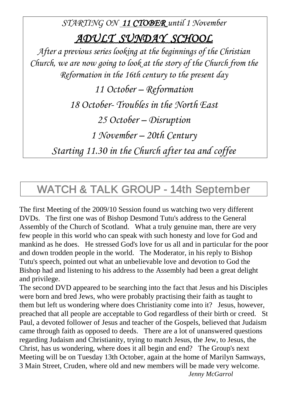*STARTING ON 11 CTOBER until 1 November ADULT SUNDAY SCHOOL After a previous series looking at the beginnings of the Christian Church, we are now going to look at the story of the Church from the Reformation in the 16th century to the present day 11 October – Reformation 18 October- Troubles in the North East 25 October – Disruption 1 November – 20th Century*

*Starting 11.30 in the Church after tea and coffee*

## WATCH & TALK GROUP - 14th September

The first Meeting of the 2009/10 Session found us watching two very different DVDs. The first one was of Bishop Desmond Tutu's address to the General Assembly of the Church of Scotland. What a truly genuine man, there are very few people in this world who can speak with such honesty and love for God and mankind as he does. He stressed God's love for us all and in particular for the poor and down trodden people in the world. The Moderator, in his reply to Bishop Tutu's speech, pointed out what an unbelievable love and devotion to God the Bishop had and listening to his address to the Assembly had been a great delight and privilege.

The second DVD appeared to be searching into the fact that Jesus and his Disciples were born and bred Jews, who were probably practising their faith as taught to them but left us wondering where does Christianity come into it? Jesus, however, preached that all people are acceptable to God regardless of their birth or creed. St Paul, a devoted follower of Jesus and teacher of the Gospels, believed that Judaism came through faith as opposed to deeds. There are a lot of unanswered questions regarding Judaism and Christianity, trying to match Jesus, the Jew, to Jesus, the Christ, has us wondering, where does it all begin and end? The Group's next Meeting will be on Tuesday 13th October, again at the home of Marilyn Samways, 3 Main Street, Cruden, where old and new members will be made very welcome. *Jenny McGarrol*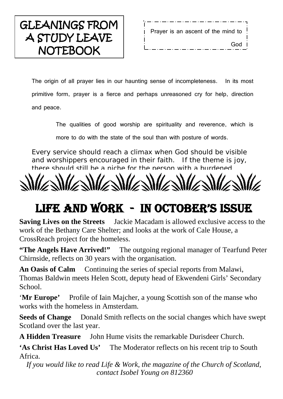# GLEANINGS FROM A STUDY LEAVE **NOTEBOOK**

. Prayer is an ascent of the mind to God |

The origin of all prayer lies in our haunting sense of incompleteness. In its most primitive form, prayer is a fierce and perhaps unreasoned cry for help, direction and peace.

The qualities of good worship are spirituality and reverence, which is

more to do with the state of the soul than with posture of words.

Every service should reach a climax when God should be visible and worshippers encouraged in their faith. If the theme is joy, there should still be a niche for the person with a burdened

# LIFE AND WORK - IN OCTOBER'S ISSUE

**Saving Lives on the Streets** Jackie Macadam is allowed exclusive access to the work of the Bethany Care Shelter; and looks at the work of Cale House, a CrossReach project for the homeless.

**"The Angels Have Arrived!"** The outgoing regional manager of Tearfund Peter Chirnside, reflects on 30 years with the organisation.

An Oasis of Calm Continuing the series of special reports from Malawi, Thomas Baldwin meets Helen Scott, deputy head of Ekwendeni Girls' Secondary School.

'**Mr Europe'** Profile of Iain Majcher, a young Scottish son of the manse who works with the homeless in Amsterdam.

**Seeds of Change** Donald Smith reflects on the social changes which have swept Scotland over the last year.

**A Hidden Treasure** John Hume visits the remarkable Durisdeer Church.

**'As Christ Has Loved Us'** The Moderator reflects on his recent trip to South Africa.

*If you would like to read Life & Work, the magazine of the Church of Scotland, contact Isobel Young on 812360*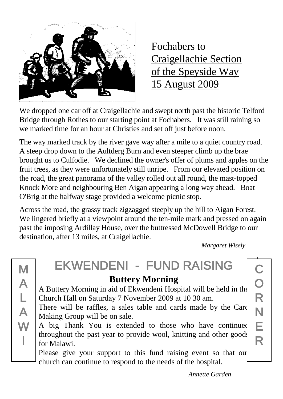![](_page_6_Picture_0.jpeg)

Fochabers to Craigellachie Section of the Speyside Way 15 August 2009

We dropped one car off at Craigellachie and swept north past the historic Telford Bridge through Rothes to our starting point at Fochabers. It was still raining so we marked time for an hour at Christies and set off just before noon.

The way marked track by the river gave way after a mile to a quiet country road. A steep drop down to the Aultderg Burn and even steeper climb up the brae brought us to Culfodie. We declined the owner's offer of plums and apples on the fruit trees, as they were unfortunately still unripe. From our elevated position on the road, the great panorama of the valley rolled out all round, the mast-topped Knock More and neighbouring Ben Aigan appearing a long way ahead. Boat O'Brig at the halfway stage provided a welcome picnic stop.

Across the road, the grassy track zigzagged steeply up the hill to Aigan Forest. We lingered briefly at a viewpoint around the ten-mile mark and pressed on again past the imposing Ardillay House, over the buttressed McDowell Bridge to our destination, after 13 miles, at Craigellachie.

 *Margaret Wisely*

# EKWENDENI - FUND RAISING

### **Buttery Morning**

A Buttery Morning in aid of Ekwendeni Hospital will be held in the Church Hall on Saturday 7 November 2009 at 10 30 am.

There will be raffles, a sales table and cards made by the Card Making Group will be on sale.

A big Thank You is extended to those who have continued throughout the past year to provide wool, knitting and other goods for Malawi.

Please give your support to this fund raising event so that our church can continue to respond to the needs of the hospital.

C O R N E R

*Annette Garden*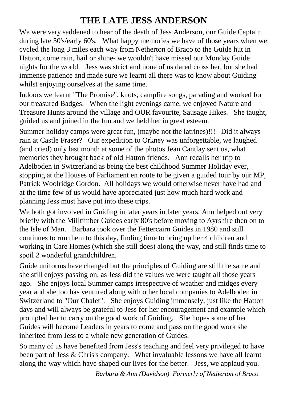#### **THE LATE JESS ANDERSON**

We were very saddened to hear of the death of Jess Anderson, our Guide Captain during late 50's/early 60's. What happy memories we have of those years when we cycled the long 3 miles each way from Netherton of Braco to the Guide hut in Hatton, come rain, hail or shine- we wouldn't have missed our Monday Guide nights for the world. Jess was strict and none of us dared cross her, but she had immense patience and made sure we learnt all there was to know about Guiding whilst enjoying ourselves at the same time.

Indoors we learnt "The Promise", knots, campfire songs, parading and worked for our treasured Badges. When the light evenings came, we enjoyed Nature and Treasure Hunts around the village and OUR favourite, Sausage Hikes. She taught, guided us and joined in the fun and we held her in great esteem.

Summer holiday camps were great fun, (maybe not the latrines)!!! Did it always rain at Castle Fraser? Our expedition to Orkney was unforgettable, we laughed (and cried) only last month at some of the photos Jean Cantlay sent us, what memories they brought back of old Hatton friends. Ann recalls her trip to Adelboden in Switzerland as being the best childhood Summer Holiday ever, stopping at the Houses of Parliament en route to be given a guided tour by our MP, Patrick Woolridge Gordon. All holidays we would otherwise never have had and at the time few of us would have appreciated just how much hard work and planning Jess must have put into these trips.

We both got involved in Guiding in later years in later years. Ann helped out very briefly with the Milltimber Guides early 80's before moving to Ayrshire then on to the Isle of Man. Barbara took over the Fettercairn Guides in 1980 and still continues to run them to this day, finding time to bring up her 4 children and working in Care Homes (which she still does) along the way, and still finds time to spoil 2 wonderful grandchildren.

Guide uniforms have changed but the principles of Guiding are still the same and she still enjoys passing on, as Jess did the values we were taught all those years ago. She enjoys local Summer camps irrespective of weather and midges every year and she too has ventured along with other local companies to Adelboden in Switzerland to "Our Chalet". She enjoys Guiding immensely, just like the Hatton days and will always be grateful to Jess for her encouragement and example which prompted her to carry on the good work of Guiding. She hopes some of her Guides will become Leaders in years to come and pass on the good work she inherited from Jess to a whole new generation of Guides.

So many of us have benefited from Jess's teaching and feel very privileged to have been part of Jess & Chris's company. What invaluable lessons we have all learnt along the way which have shaped our lives for the better. Jess, we applaud you.

*Barbara & Ann (Davidson) Formerly of Netherton of Braco*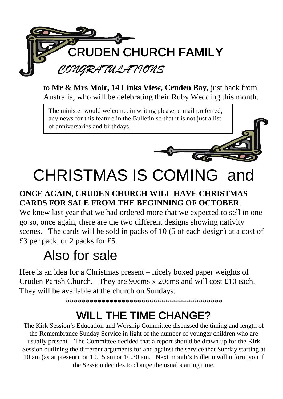![](_page_8_Picture_0.jpeg)

to **Mr & Mrs Moir, 14 Links View, Cruden Bay,** just back from Australia, who will be celebrating their Ruby Wedding this month.

The minister would welcome, in writing please, e-mail preferred, any news for this feature in the Bulletin so that it is not just a list of anniversaries and birthdays.

![](_page_8_Picture_3.jpeg)

# CHRISTMAS IS COMING and

#### **ONCE AGAIN, CRUDEN CHURCH WILL HAVE CHRISTMAS CARDS FOR SALE FROM THE BEGINNING OF OCTOBER**.

We knew last year that we had ordered more that we expected to sell in one go so, once again, there are the two different designs showing nativity scenes. The cards will be sold in packs of 10 (5 of each design) at a cost of £3 per pack, or 2 packs for £5.

# Also for sale

Here is an idea for a Christmas present – nicely boxed paper weights of Cruden Parish Church. They are 90cms x 20cms and will cost £10 each. They will be available at the church on Sundays.

\*\*\*\*\*\*\*\*\*\*\*\*\*\*\*\*\*\*\*\*\*\*\*\*\*\*\*\*\*\*\*\*\*\*\*\*\*\*\*

# WILL THE TIME CHANGE?

The Kirk Session's Education and Worship Committee discussed the timing and length of the Remembrance Sunday Service in light of the number of younger children who are usually present. The Committee decided that a report should be drawn up for the Kirk Session outlining the different arguments for and against the service that Sunday starting at 10 am (as at present), or 10.15 am or 10.30 am. Next month's Bulletin will inform you if the Session decides to change the usual starting time.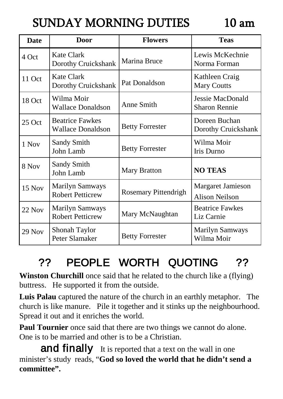# SUNDAY MORNING DUTIES 10 am

| <b>Date</b> | Door                                               | <b>Flowers</b>         | <b>Teas</b>                                       |
|-------------|----------------------------------------------------|------------------------|---------------------------------------------------|
| 4 Oct       | Kate Clark<br>Dorothy Cruickshank                  | Marina Bruce           | Lewis McKechnie<br>Norma Forman                   |
| 11 Oct      | Kate Clark<br>Dorothy Cruickshank                  | Pat Donaldson          | Kathleen Craig<br><b>Mary Coutts</b>              |
| 18 Oct      | Wilma Moir<br><b>Wallace Donaldson</b>             | Anne Smith             | <b>Jessie MacDonald</b><br><b>Sharon Rennie</b>   |
| $25$ Oct    | <b>Beatrice Fawkes</b><br><b>Wallace Donaldson</b> | <b>Betty Forrester</b> | Doreen Buchan<br>Dorothy Cruickshank              |
| 1 Nov       | <b>Sandy Smith</b><br>John Lamb                    | <b>Betty Forrester</b> | Wilma Moir<br>Iris Durno                          |
| 8 Nov       | Sandy Smith<br>John Lamb                           | <b>Mary Bratton</b>    | <b>NO TEAS</b>                                    |
| 15 Nov      | <b>Marilyn Samways</b><br><b>Robert Petticrew</b>  | Rosemary Pittendrigh   | <b>Margaret Jamieson</b><br><b>Alison Neilson</b> |
| 22 Nov      | <b>Marilyn Samways</b><br><b>Robert Petticrew</b>  | Mary McNaughtan        | <b>Beatrice Fawkes</b><br>Liz Carnie              |
| 29 Nov      | Shonah Taylor<br>Peter Slamaker                    | <b>Betty Forrester</b> | <b>Marilyn Samways</b><br>Wilma Moir              |

# ?? PEOPLE WORTH QUOTING ??

**Winston Churchill** once said that he related to the church like a (flying) buttress. He supported it from the outside.

**Luis Palau** captured the nature of the church in an earthly metaphor. The church is like manure. Pile it together and it stinks up the neighbourhood. Spread it out and it enriches the world.

**Paul Tournier** once said that there are two things we cannot do alone. One is to be married and other is to be a Christian.

and finally It is reported that a text on the wall in one minister's study reads, "**God so loved the world that he didn't send a committee".**